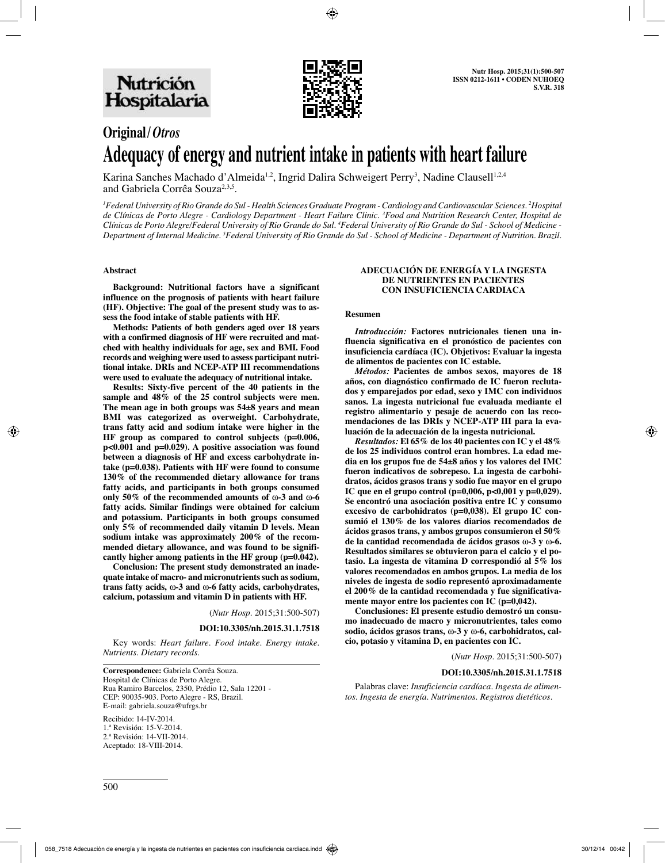

# **Original/***Otros* **Adequacy of energy and nutrient intake in patients with heart failure**

Karina Sanches Machado d'Almeida<sup>1,2</sup>, Ingrid Dalira Schweigert Perry<sup>3</sup>, Nadine Clausell<sup>1,2,4</sup> and Gabriela Corrêa Souza<sup>2,3,5</sup>.

*1 Federal University of Rio Grande do Sul - Health Sciences Graduate Program - Cardiology and Cardiovascular Sciences. 2 Hospital de Clínicas de Porto Alegre - Cardiology Department - Heart Failure Clinic. 3 Food and Nutrition Research Center, Hospital de Clínicas de Porto Alegre/Federal University of Rio Grande do Sul. 4 Federal University of Rio Grande do Sul - School of Medicine - Department of Internal Medicine. 5 Federal University of Rio Grande do Sul - School of Medicine - Department of Nutrition. Brazil.*

#### **Abstract**

**Background: Nutritional factors have a significant influence on the prognosis of patients with heart failure (HF). Objective: The goal of the present study was to assess the food intake of stable patients with HF.**

with a confirmed diagnosis of HF were recruited and mat-<br>
ched with healthy individuals for age, sex and BMI. Food records and weighing were used to assess participant nutritional intake. DRIs and NCEP-ATP III recommendations

**the used to evaluate the adequacy of nutritional intake.**<br>Results: Sixty-five percent of the 40 patients in the sample and 48% of the 25 control subjects were men.<br>The mean age in both groups was 54±8 years and mean<br>BMI was categorized as overweight. Carbohydrate,<br>trans fatty acid and sodium intake were higher in the<br>HF group as co 130% of the recommended dietary allowance for trans<br>fatty acids, and participants in both groups consumed<br>only 50% of the recommended amounts of  $\omega$ -3 and  $\omega$ -6<br>fatty acids. Similar findings were obtained for calcium and potassium. Participants in both groups consumed<br>only  $5\%$  of recommended daily vitamin D levels. Mean<br>sodium intake was approximately  $200\%$  of the recom**mended dietary allowance, and was found to be significantly higher among patients in the HF group (p=0.042).**

**Conclusion: The present study demonstrated an inadequate intake of macro- and micronutrients such as sodium, trans fatty acids,** <sup>ω</sup>**-3 and** <sup>ω</sup>**-6 fatty acids, carbohydrates, calcium, potassium and vitamin D in patients with HF.** 

(*Nutr Hosp.* 2015;31:500-507)

**DOI:10.3305/nh.2015.31.1.7518**

Key words: *Heart failure. Food intake. Energy intake. Nutrients. Dietary records.*

**Correspondence:** Gabriela Corrêa Souza. Hospital de Clínicas de Porto Alegre. Rua Ramiro Barcelos, 2350, Prédio 12, Sala 12201 - CEP: 90035-903. Porto Alegre - RS, Brazil. E-mail: gabriela.souza@ufrgs.br

Recibido: 14-IV-2014. 1.ª Revisión: 15-V-2014. 2.ª Revisión: 14-VII-2014. Aceptado: 18-VIII-2014.

# **ADECUACIÓN DE ENERGÍA Y LA INGESTA DE NUTRIENTES EN PACIENTES CON INSUFICIENCIA CARDIACA**

#### **Resumen**

*Introducción:* Factores nutricionales tienen una influencia significativa en el pronóstico de pacientes con **fluencia significativa en el pronón**<br>de alimentos de pacientes con IC estable.<br>*Métodos:* Pacientes de ambos sexos, mayores de 18

años, con diagnóstico confirmado de IC fueron recluta-<br> **dos y emparejados por edad, sexo y IMC con individuos** sanos. La ingesta nutricional fue evaluada mediante el registro alimentario y pesaje de acuerdo con las reco**mendaciones de las DRIs y NCEP-ATP III para la eva-**

**luación de la adecuación de la ingesta nutricional.** de los 25 individuos control eran hombres. La edad media en los grupos fue de 54±8 años y los valores del IMC fueron indicativos de sobrepeso. La ingesta de carbohidratos, ácidos grasos trans y sodio fue mayor en el grupo IC que en el grupo control ( $p=0,006$ ,  $p<0,001$  y  $p=0,029$ ).<br>Se encontró una asociación positiva entre IC y consumo excesivo de carbohidratos ( $p=0,038$ ). El grupo IC con**sumió el 130% de los valores diarios recomendados de ácidos grasos trans, y ambos grupos consumieron el 50% de la cantidad recomendada de ácidos grasos** ω**-3 y** ω**-6. Resultados similares se obtuvieron para el calcio y el po**tasio. La ingesta de vitamina D correspondió al 5% los<br>valores recomendados en ambos grupos. La media de los<br>niveles de ingesta de sodio representó aproximadamente<br>el 200% de la cantidad recomendada y fue significativa**mente mayor entre los pacientes con IC (p=0,042).**

**Conclusiones: El presente estudio demostró un consumo inadecuado de macro y micronutrientes, tales como sodio, ácidos grasos trans,** ω**-3 y** ω**-6, carbohidratos, calcio, potasio y vitamina D, en pacientes con IC.**

(*Nutr Hosp.* 2015;31:500-507)

#### **DOI:10.3305/nh.2015.31.1.7518**

Palabras clave: *Insuficiencia cardíaca. Ingesta de alimentos. Ingesta de energía. Nutrimentos. Registros dietéticos.*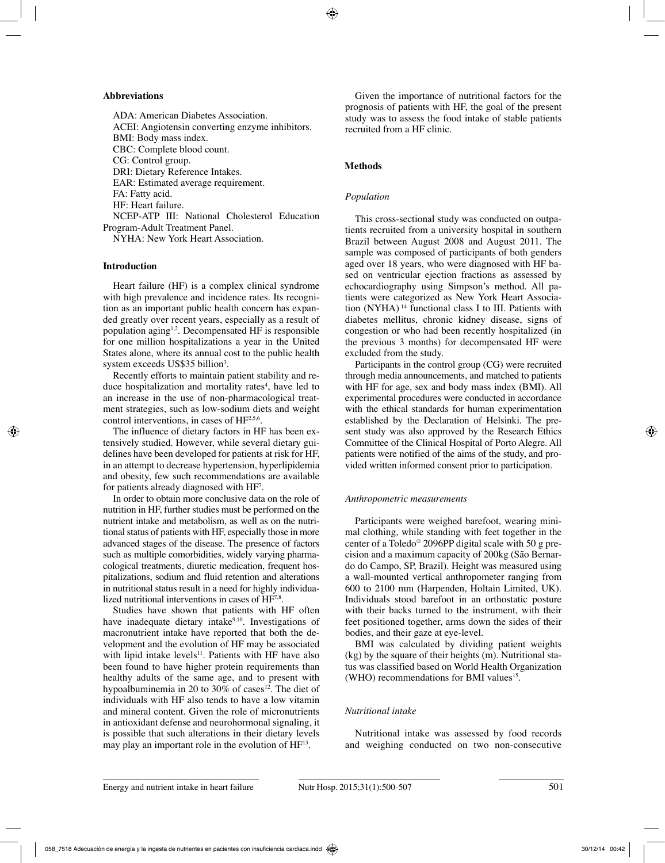# **Abbreviations**

ADA: American Diabetes Association. ACEI: Angiotensin converting enzyme inhibitors. BMI: Body mass index. CBC: Complete blood count. CG: Control group. DRI: Dietary Reference Intakes. EAR: Estimated average requirement. FA: Fatty acid. HF: Heart failure. NCEP-ATP III: National Cholesterol Education Program-Adult Treatment Panel.

NYHA: New York Heart Association.

#### **Introduction**

Heart failure (HF) is a complex clinical syndrome with high prevalence and incidence rates. Its recognition as an important public health concern has expanded greatly over recent years, especially as a result of population aging<sup>1,2</sup>. Decompensated HF is responsible for one million hospitalizations a year in the United States alone, where its annual cost to the public health system exceeds US\$35 billion<sup>3</sup>.

Recently efforts to maintain patient stability and reduce hospitalization and mortality rates<sup>4</sup>, have led to an increase in the use of non-pharmacological treatment strategies, such as low-sodium diets and weight control interventions, in cases of HF<sup>2,5,6</sup>.

The influence of dietary factors in HF has been extensively studied. However, while several dietary guidelines have been developed for patients at risk for HF, in an attempt to decrease hypertension, hyperlipidemia and obesity, few such recommendations are available for patients already diagnosed with HF<sup>7</sup>.

In order to obtain more conclusive data on the role of nutrition in HF, further studies must be performed on the nutrient intake and metabolism, as well as on the nutritional status of patients with HF, especially those in more advanced stages of the disease. The presence of factors such as multiple comorbidities, widely varying pharmacological treatments, diuretic medication, frequent hospitalizations, sodium and fluid retention and alterations in nutritional status result in a need for highly individualized nutritional interventions in cases of HF<sup>7,8</sup>.

Studies have shown that patients with HF often have inadequate dietary intake $9,10$ . Investigations of macronutrient intake have reported that both the development and the evolution of HF may be associated with lipid intake levels<sup>11</sup>. Patients with HF have also been found to have higher protein requirements than healthy adults of the same age, and to present with hypoalbuminemia in 20 to 30% of cases<sup>12</sup>. The diet of individuals with HF also tends to have a low vitamin and mineral content. Given the role of micronutrients in antioxidant defense and neurohormonal signaling, it is possible that such alterations in their dietary levels may play an important role in the evolution of HF<sup>13</sup>.

Given the importance of nutritional factors for the prognosis of patients with HF, the goal of the present study was to assess the food intake of stable patients recruited from a HF clinic.

# **Methods**

#### *Population*

This cross-sectional study was conducted on outpatients recruited from a university hospital in southern Brazil between August 2008 and August 2011. The sample was composed of participants of both genders aged over 18 years, who were diagnosed with HF based on ventricular ejection fractions as assessed by echocardiography using Simpson's method. All patients were categorized as New York Heart Association (NYHA) 14 functional class I to III. Patients with diabetes mellitus, chronic kidney disease, signs of congestion or who had been recently hospitalized (in the previous 3 months) for decompensated HF were excluded from the study.

Participants in the control group (CG) were recruited through media announcements, and matched to patients with HF for age, sex and body mass index (BMI). All experimental procedures were conducted in accordance with the ethical standards for human experimentation established by the Declaration of Helsinki. The present study was also approved by the Research Ethics Committee of the Clinical Hospital of Porto Alegre. All patients were notified of the aims of the study, and provided written informed consent prior to participation.

# *Anthropometric measurements*

Participants were weighed barefoot, wearing minimal clothing, while standing with feet together in the center of a Toledo® 2096PP digital scale with 50 g precision and a maximum capacity of 200kg (São Bernardo do Campo, SP, Brazil). Height was measured using a wall-mounted vertical anthropometer ranging from 600 to 2100 mm (Harpenden, Holtain Limited, UK). Individuals stood barefoot in an orthostatic posture with their backs turned to the instrument, with their feet positioned together, arms down the sides of their bodies, and their gaze at eye-level.

BMI was calculated by dividing patient weights (kg) by the square of their heights (m). Nutritional status was classified based on World Health Organization (WHO) recommendations for BMI values<sup>15</sup>.

#### *Nutritional intake*

Nutritional intake was assessed by food records and weighing conducted on two non-consecutive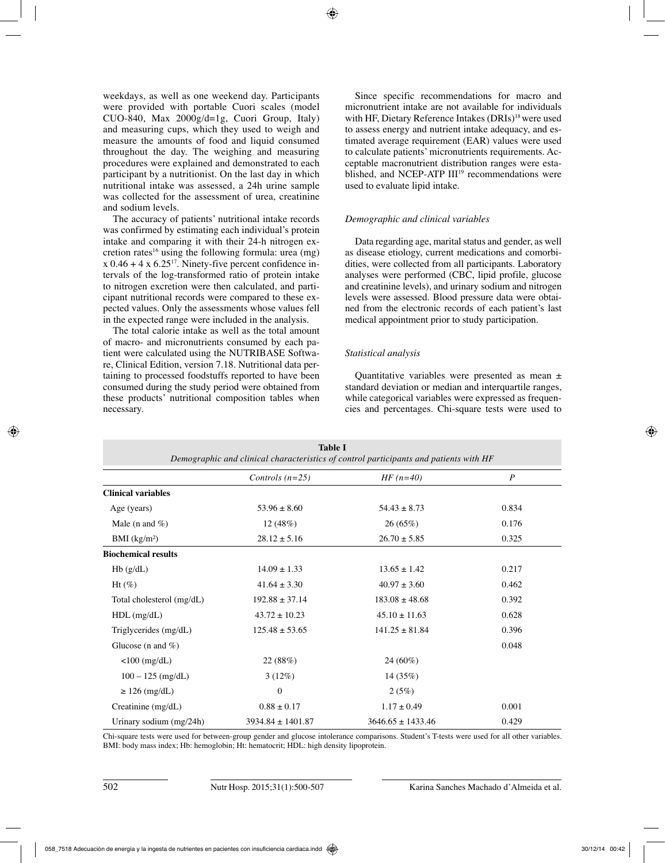weekdays, as well as one weekend day. Participants were provided with portable Cuori scales (model CUO-840, Max 2000g/d=1g, Cuori Group, Italy) and measuring cups, which they used to weigh and measure the amounts of food and liquid consumed throughout the day. The weighing and measuring procedures were explained and demonstrated to each participant by a nutritionist. On the last day in which nutritional intake was assessed, a 24h urine sample was collected for the assessment of urea, creatinine and sodium levels.

The accuracy of patients' nutritional intake records was confirmed by estimating each individual's protein intake and comparing it with their 24-h nitrogen excretion rates<sup>16</sup> using the following formula: urea  $(mg)$  $x$  0.46 + 4 x 6.25<sup>17</sup>. Ninety-five percent confidence intervals of the log-transformed ratio of protein intake to nitrogen excretion were then calculated, and participant nutritional records were compared to these expected values. Only the assessments whose values fell in the expected range were included in the analysis.

The total calorie intake as well as the total amount of macro- and micronutrients consumed by each patient were calculated using the NUTRIBASE Software, Clinical Edition, version 7.18. Nutritional data pertaining to processed foodstuffs reported to have been consumed during the study period were obtained from these products' nutritional composition tables when necessary.

Since specific recommendations for macro and micronutrient intake are not available for individuals with HF, Dietary Reference Intakes (DRIs)<sup>18</sup> were used to assess energy and nutrient intake adequacy, and estimated average requirement (EAR) values were used to calculate patients' micronutrients requirements. Acceptable macronutrient distribution ranges were established, and NCEP-ATP III<sup>19</sup> recommendations were used to evaluate lipid intake.

# *Demographic and clinical variables*

Data regarding age, marital status and gender, as well as disease etiology, current medications and comorbidities, were collected from all participants. Laboratory analyses were performed (CBC, lipid profile, glucose and creatinine levels), and urinary sodium and nitrogen levels were assessed. Blood pressure data were obtained from the electronic records of each patient's last medical appointment prior to study participation.

#### *Statistical analysis*

Quantitative variables were presented as mean ± standard deviation or median and interquartile ranges, while categorical variables were expressed as frequencies and percentages. Chi-square tests were used to

| <b>Table I</b><br>Demographic and clinical characteristics of control participants and patients with HF |                       |                       |                  |  |  |
|---------------------------------------------------------------------------------------------------------|-----------------------|-----------------------|------------------|--|--|
|                                                                                                         | Controls $(n=25)$     | $HF(n=40)$            | $\boldsymbol{P}$ |  |  |
| <b>Clinical variables</b>                                                                               |                       |                       |                  |  |  |
| Age (years)                                                                                             | $53.96 \pm 8.60$      | $54.43 \pm 8.73$      | 0.834            |  |  |
| Male (n and $\%$ )                                                                                      | 12(48%)               | 26(65%)               | 0.176            |  |  |
| $BMI$ (kg/m <sup>2</sup> )                                                                              | $28.12 \pm 5.16$      | $26.70 \pm 5.85$      | 0.325            |  |  |
| <b>Biochemical results</b>                                                                              |                       |                       |                  |  |  |
| Hb(g/dL)                                                                                                | $14.09 \pm 1.33$      | $13.65 \pm 1.42$      | 0.217            |  |  |
| Ht $(\%)$                                                                                               | $41.64 \pm 3.30$      | $40.97 \pm 3.60$      | 0.462            |  |  |
| Total cholesterol (mg/dL)                                                                               | $192.88 \pm 37.14$    | $183.08 \pm 48.68$    | 0.392            |  |  |
| $HDL$ (mg/dL)                                                                                           | $43.72 \pm 10.23$     | $45.10 \pm 11.63$     | 0.628            |  |  |
| Triglycerides (mg/dL)                                                                                   | $125.48 \pm 53.65$    | $141.25 \pm 81.84$    | 0.396            |  |  |
| Glucose (n and $\%$ )                                                                                   |                       |                       | 0.048            |  |  |
| $<$ 100 (mg/dL)                                                                                         | 22 (88%)              | $24(60\%)$            |                  |  |  |
| $100 - 125$ (mg/dL)                                                                                     | $3(12\%)$             | 14(35%)               |                  |  |  |
| $\geq$ 126 (mg/dL)                                                                                      | $\overline{0}$        | 2(5%)                 |                  |  |  |
| Creatinine (mg/dL)                                                                                      | $0.88 \pm 0.17$       | $1.17 \pm 0.49$       | 0.001            |  |  |
| Urinary sodium (mg/24h)                                                                                 | $3934.84 \pm 1401.87$ | $3646.65 \pm 1433.46$ | 0.429            |  |  |

Chi-square tests were used for between-group gender and glucose intolerance comparisons. Student's T-tests were used for all other variables. BMI: body mass index; Hb: hemoglobin; Ht: hematocrit; HDL: high density lipoprotein.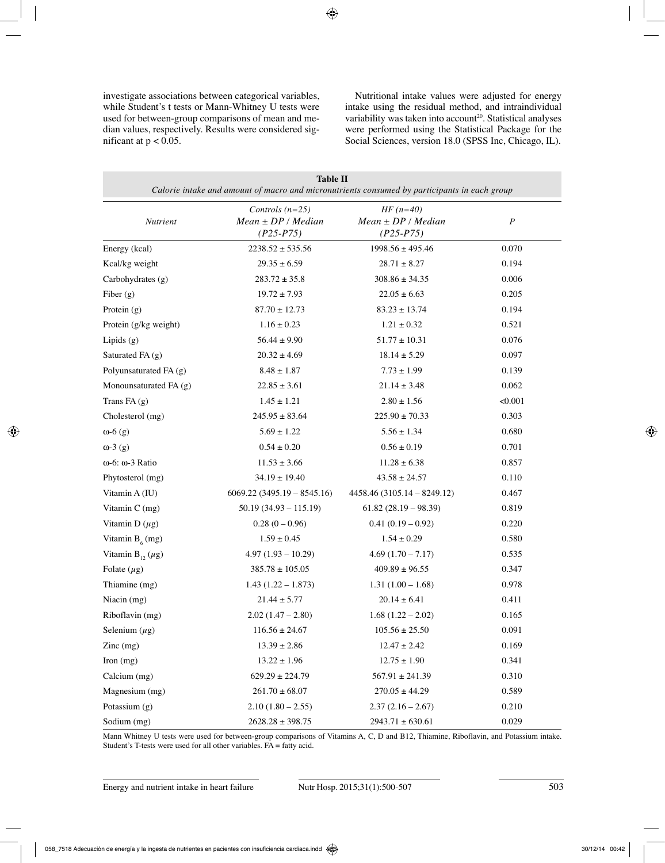investigate associations between categorical variables, while Student's t tests or Mann-Whitney U tests were used for between-group comparisons of mean and median values, respectively. Results were considered significant at  $p < 0.05$ .

Nutritional intake values were adjusted for energy intake using the residual method, and intraindividual variability was taken into account<sup>20</sup>. Statistical analyses were performed using the Statistical Package for the Social Sciences, version 18.0 (SPSS Inc, Chicago, IL).

| <b>Table II</b><br>Calorie intake and amount of macro and micronutrients consumed by participants in each group |                                                            |                                                     |                  |  |  |  |
|-----------------------------------------------------------------------------------------------------------------|------------------------------------------------------------|-----------------------------------------------------|------------------|--|--|--|
| Nutrient                                                                                                        | Controls $(n=25)$<br>$Mean \pm DP / Median$<br>$(P25-P75)$ | $HF(n=40)$<br>$Mean \pm DP / Median$<br>$(P25-P75)$ | $\boldsymbol{P}$ |  |  |  |
| Energy (kcal)                                                                                                   | $2238.52 \pm 535.56$                                       | $1998.56 \pm 495.46$                                | 0.070            |  |  |  |
| Kcal/kg weight                                                                                                  | $29.35 \pm 6.59$                                           | $28.71 \pm 8.27$                                    | 0.194            |  |  |  |
| Carbohydrates (g)                                                                                               | $283.72 \pm 35.8$                                          | $308.86 \pm 34.35$                                  | 0.006            |  |  |  |
| Fiber $(g)$                                                                                                     | $19.72 \pm 7.93$                                           | $22.05 \pm 6.63$                                    | 0.205            |  |  |  |
| Protein $(g)$                                                                                                   | $87.70 \pm 12.73$                                          | $83.23 \pm 13.74$                                   | 0.194            |  |  |  |
| Protein (g/kg weight)                                                                                           | $1.16 \pm 0.23$                                            | $1.21 \pm 0.32$                                     | 0.521            |  |  |  |
| Lipids $(g)$                                                                                                    | $56.44 \pm 9.90$                                           | $51.77 \pm 10.31$                                   | 0.076            |  |  |  |
| Saturated FA (g)                                                                                                | $20.32 \pm 4.69$                                           | $18.14 \pm 5.29$                                    | 0.097            |  |  |  |
| Polyunsaturated FA (g)                                                                                          | $8.48 \pm 1.87$                                            | $7.73 \pm 1.99$                                     | 0.139            |  |  |  |
| Monounsaturated FA (g)                                                                                          | $22.85 \pm 3.61$                                           | $21.14 \pm 3.48$                                    | 0.062            |  |  |  |
| Trans FA $(g)$                                                                                                  | $1.45 \pm 1.21$                                            | $2.80 \pm 1.56$                                     | < 0.001          |  |  |  |
| Cholesterol (mg)                                                                                                | $245.95 \pm 83.64$                                         | $225.90 \pm 70.33$                                  | 0.303            |  |  |  |
| $\omega$ -6 $(g)$                                                                                               | $5.69 \pm 1.22$                                            | $5.56 \pm 1.34$                                     | 0.680            |  |  |  |
| $\omega$ -3 $(g)$                                                                                               | $0.54 \pm 0.20$                                            | $0.56 \pm 0.19$                                     | 0.701            |  |  |  |
| ω-6: ω-3 Ratio                                                                                                  | $11.53 \pm 3.66$                                           | $11.28 \pm 6.38$                                    | 0.857            |  |  |  |
| Phytosterol (mg)                                                                                                | $34.19 \pm 19.40$                                          | $43.58 \pm 24.57$                                   | 0.110            |  |  |  |
| Vitamin A (IU)                                                                                                  | $6069.22(3495.19 - 8545.16)$                               | $4458.46(3105.14 - 8249.12)$                        | 0.467            |  |  |  |
| Vitamin C (mg)                                                                                                  | $50.19(34.93 - 115.19)$                                    | $61.82(28.19 - 98.39)$                              | 0.819            |  |  |  |
| Vitamin D $(\mu g)$                                                                                             | $0.28(0-0.96)$                                             | $0.41(0.19-0.92)$                                   | 0.220            |  |  |  |
| Vitamin $B_6$ (mg)                                                                                              | $1.59 \pm 0.45$                                            | $1.54 \pm 0.29$                                     | 0.580            |  |  |  |
| Vitamin $B_{12}(\mu g)$                                                                                         | $4.97(1.93 - 10.29)$                                       | $4.69(1.70 - 7.17)$                                 | 0.535            |  |  |  |
| Folate $(\mu g)$                                                                                                | $385.78 \pm 105.05$                                        | $409.89 \pm 96.55$                                  | 0.347            |  |  |  |
| Thiamine (mg)                                                                                                   | $1.43(1.22 - 1.873)$                                       | $1.31(1.00 - 1.68)$                                 | 0.978            |  |  |  |
| Niacin (mg)                                                                                                     | $21.44 \pm 5.77$                                           | $20.14 \pm 6.41$                                    | 0.411            |  |  |  |
| Riboflavin (mg)                                                                                                 | $2.02(1.47 - 2.80)$                                        | $1.68(1.22 - 2.02)$                                 | 0.165            |  |  |  |
| Selenium $(\mu g)$                                                                                              | $116.56 \pm 24.67$                                         | $105.56 \pm 25.50$                                  | 0.091            |  |  |  |
| $Zinc$ (mg)                                                                                                     | $13.39 \pm 2.86$                                           | $12.47 \pm 2.42$                                    | 0.169            |  |  |  |
| Iron $(mg)$                                                                                                     | $13.22 \pm 1.96$                                           | $12.75 \pm 1.90$                                    | 0.341            |  |  |  |
| Calcium (mg)                                                                                                    | $629.29 \pm 224.79$                                        | $567.91 \pm 241.39$                                 | 0.310            |  |  |  |
| Magnesium (mg)                                                                                                  | $261.70 \pm 68.07$                                         | $270.05 \pm 44.29$                                  | 0.589            |  |  |  |
| Potassium (g)                                                                                                   | $2.10(1.80 - 2.55)$                                        | $2.37(2.16 - 2.67)$                                 | 0.210            |  |  |  |
| Sodium (mg)                                                                                                     | $2628.28 \pm 398.75$                                       | $2943.71 \pm 630.61$                                | 0.029            |  |  |  |

Mann Whitney U tests were used for between-group comparisons of Vitamins A, C, D and B12, Thiamine, Riboflavin, and Potassium intake. Student's T-tests were used for all other variables.  $\overrightarrow{FA} = \overrightarrow{f}$  acid.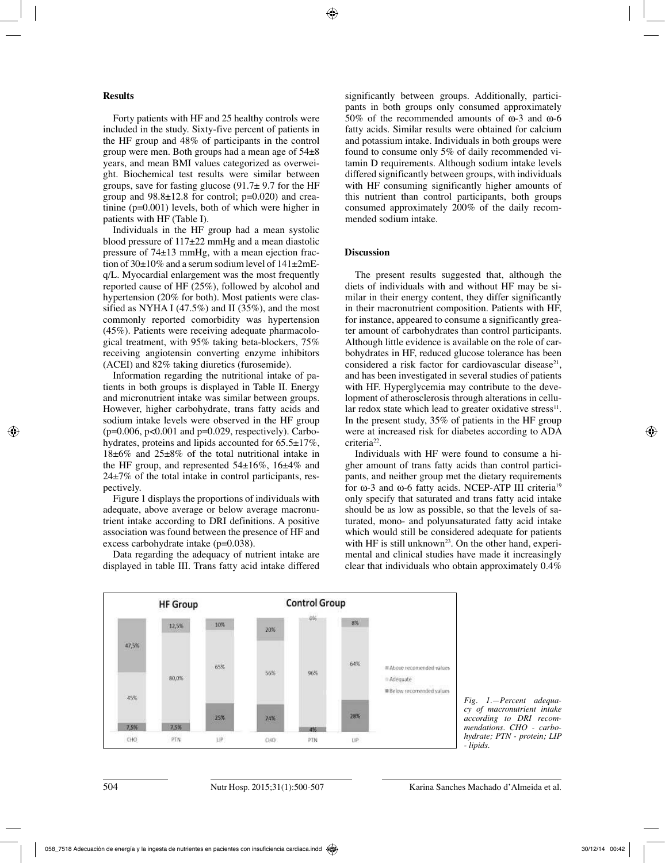# **Results**

Forty patients with HF and 25 healthy controls were included in the study. Sixty-five percent of patients in the HF group and 48% of participants in the control group were men. Both groups had a mean age of 54±8 years, and mean BMI values categorized as overweight. Biochemical test results were similar between groups, save for fasting glucose  $(91.7 \pm 9.7)$  for the HF group and  $98.8 \pm 12.8$  for control;  $p=0.020$ ) and creatinine (p=0.001) levels, both of which were higher in patients with HF (Table I).

Individuals in the HF group had a mean systolic blood pressure of 117±22 mmHg and a mean diastolic pressure of 74±13 mmHg, with a mean ejection fraction of  $30\pm10\%$  and a serum sodium level of  $141\pm2mE$ q/L. Myocardial enlargement was the most frequently reported cause of HF (25%), followed by alcohol and hypertension (20% for both). Most patients were classified as NYHA I  $(47.5\%)$  and II  $(35\%)$ , and the most commonly reported comorbidity was hypertension (45%). Patients were receiving adequate pharmacological treatment, with 95% taking beta-blockers, 75% receiving angiotensin converting enzyme inhibitors (ACEI) and 82% taking diuretics (furosemide).

Information regarding the nutritional intake of patients in both groups is displayed in Table II. Energy and micronutrient intake was similar between groups. However, higher carbohydrate, trans fatty acids and sodium intake levels were observed in the HF group  $(p=0.006, p<0.001$  and  $p=0.029$ , respectively). Carbohydrates, proteins and lipids accounted for  $65.5 \pm 17\%$ . 18±6% and 25±8% of the total nutritional intake in the HF group, and represented  $54\pm16\%$ ,  $16\pm4\%$  and  $24\pm7\%$  of the total intake in control participants, respectively.

Figure 1 displays the proportions of individuals with adequate, above average or below average macronutrient intake according to DRI definitions. A positive association was found between the presence of HF and excess carbohydrate intake (p=0.038).

Data regarding the adequacy of nutrient intake are displayed in table III. Trans fatty acid intake differed significantly between groups. Additionally, participants in both groups only consumed approximately 50% of the recommended amounts of ω-3 and ω-6 fatty acids. Similar results were obtained for calcium and potassium intake. Individuals in both groups were found to consume only 5% of daily recommended vitamin D requirements. Although sodium intake levels differed significantly between groups, with individuals with HF consuming significantly higher amounts of this nutrient than control participants, both groups consumed approximately 200% of the daily recommended sodium intake.

# **Discussion**

The present results suggested that, although the diets of individuals with and without HF may be similar in their energy content, they differ significantly in their macronutrient composition. Patients with HF, for instance, appeared to consume a significantly greater amount of carbohydrates than control participants. Although little evidence is available on the role of carbohydrates in HF, reduced glucose tolerance has been considered a risk factor for cardiovascular disease<sup>21</sup>, and has been investigated in several studies of patients with HF. Hyperglycemia may contribute to the development of atherosclerosis through alterations in cellular redox state which lead to greater oxidative stress $^{11}$ . In the present study, 35% of patients in the HF group were at increased risk for diabetes according to ADA criteria<sup>22</sup>.

Individuals with HF were found to consume a higher amount of trans fatty acids than control participants, and neither group met the dietary requirements for  $\omega$ -3 and  $\omega$ -6 fatty acids. NCEP-ATP III criteria<sup>19</sup> only specify that saturated and trans fatty acid intake should be as low as possible, so that the levels of saturated, mono- and polyunsaturated fatty acid intake which would still be considered adequate for patients with HF is still unknown<sup>23</sup>. On the other hand, experimental and clinical studies have made it increasingly clear that individuals who obtain approximately 0.4%



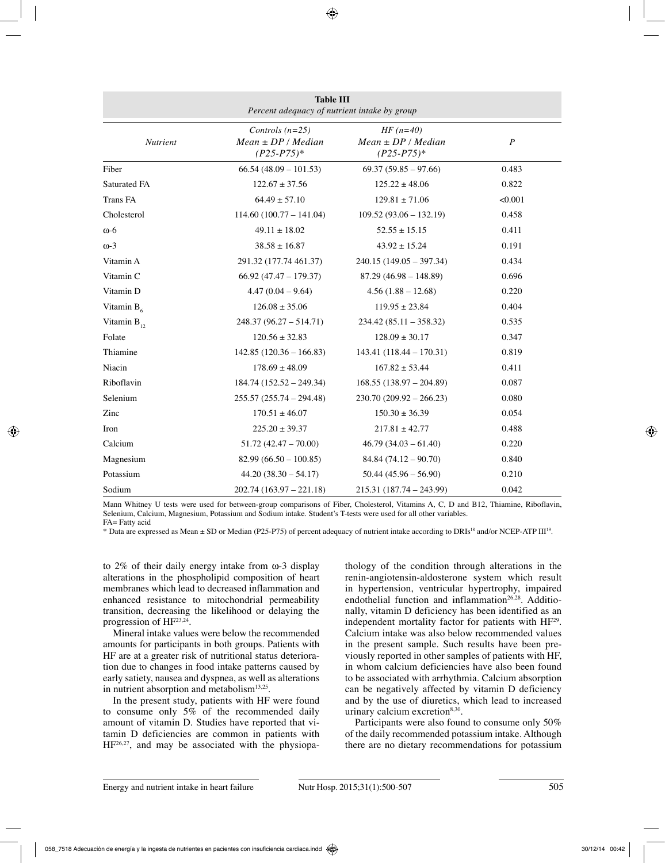| <b>Table III</b><br>Percent adequacy of nutrient intake by group |                                                             |                                                      |                  |  |  |
|------------------------------------------------------------------|-------------------------------------------------------------|------------------------------------------------------|------------------|--|--|
| <b>Nutrient</b>                                                  | Controls $(n=25)$<br>$Mean \pm DP / Median$<br>$(P25-P75)*$ | $HF(n=40)$<br>$Mean \pm DP / Median$<br>$(P25-P75)*$ | $\boldsymbol{P}$ |  |  |
| Fiber                                                            | $66.54(48.09 - 101.53)$                                     | $69.37(59.85 - 97.66)$                               | 0.483            |  |  |
| <b>Saturated FA</b>                                              | $122.67 \pm 37.56$                                          | $125.22 \pm 48.06$                                   | 0.822            |  |  |
| Trans FA                                                         | $64.49 \pm 57.10$                                           | $129.81 \pm 71.06$                                   | < 0.001          |  |  |
| Cholesterol                                                      | $114.60(100.77 - 141.04)$                                   | $109.52(93.06 - 132.19)$                             | 0.458            |  |  |
| $\omega$ -6                                                      | $49.11 \pm 18.02$                                           | $52.55 \pm 15.15$                                    | 0.411            |  |  |
| $\omega$ -3                                                      | $38.58 \pm 16.87$                                           | $43.92 \pm 15.24$                                    | 0.191            |  |  |
| Vitamin A                                                        | 291.32 (177.74 461.37)                                      | $240.15(149.05 - 397.34)$                            | 0.434            |  |  |
| Vitamin C                                                        | $66.92(47.47 - 179.37)$                                     | $87.29(46.98 - 148.89)$                              | 0.696            |  |  |
| Vitamin D                                                        | $4.47(0.04 - 9.64)$                                         | $4.56(1.88 - 12.68)$                                 | 0.220            |  |  |
| Vitamin $B_6$                                                    | $126.08 \pm 35.06$                                          | $119.95 \pm 23.84$                                   | 0.404            |  |  |
| Vitamin $B_{12}$                                                 | $248.37(96.27 - 514.71)$                                    | $234.42(85.11 - 358.32)$                             | 0.535            |  |  |
| Folate                                                           | $120.56 \pm 32.83$                                          | $128.09 \pm 30.17$                                   | 0.347            |  |  |
| Thiamine                                                         | $142.85(120.36 - 166.83)$                                   | $143.41(118.44 - 170.31)$                            | 0.819            |  |  |
| Niacin                                                           | $178.69 \pm 48.09$                                          | $167.82 \pm 53.44$                                   | 0.411            |  |  |
| Riboflavin                                                       | $184.74(152.52 - 249.34)$                                   | $168.55(138.97-204.89)$                              | 0.087            |  |  |
| Selenium                                                         | $255.57(255.74 - 294.48)$                                   | $230.70(209.92 - 266.23)$                            | 0.080            |  |  |
| Zinc                                                             | $170.51 \pm 46.07$                                          | $150.30 \pm 36.39$                                   | 0.054            |  |  |
| Iron                                                             | $225.20 \pm 39.37$                                          | $217.81 \pm 42.77$                                   | 0.488            |  |  |
| Calcium                                                          | $51.72(42.47 - 70.00)$                                      | $46.79(34.03 - 61.40)$                               | 0.220            |  |  |
| Magnesium                                                        | $82.99(66.50 - 100.85)$                                     | $84.84(74.12-90.70)$                                 | 0.840            |  |  |
| Potassium                                                        | $44.20(38.30 - 54.17)$                                      | $50.44(45.96 - 56.90)$                               | 0.210            |  |  |
| Sodium                                                           | $202.74(163.97 - 221.18)$                                   | $215.31(187.74 - 243.99)$                            | 0.042            |  |  |

Mann Whitney U tests were used for between-group comparisons of Fiber, Cholesterol, Vitamins A, C, D and B12, Thiamine, Riboflavin, Selenium, Calcium, Magnesium, Potassium and Sodium intake. Student's T-tests were used for all other variables. FA= Fatty acid

\* Data are expressed as Mean ± SD or Median (P25-P75) of percent adequacy of nutrient intake according to DRIs18 and/or NCEP-ATP III19.

to 2% of their daily energy intake from ω-3 display alterations in the phospholipid composition of heart membranes which lead to decreased inflammation and enhanced resistance to mitochondrial permeability transition, decreasing the likelihood or delaying the progression of HF<sup>23,24</sup>.

Mineral intake values were below the recommended amounts for participants in both groups. Patients with HF are at a greater risk of nutritional status deterioration due to changes in food intake patterns caused by early satiety, nausea and dyspnea, as well as alterations in nutrient absorption and metabolism $13,25$ .

In the present study, patients with HF were found to consume only 5% of the recommended daily amount of vitamin D. Studies have reported that vitamin D deficiencies are common in patients with  $HF<sup>26,27</sup>$ , and may be associated with the physiopathology of the condition through alterations in the renin-angiotensin-aldosterone system which result in hypertension, ventricular hypertrophy, impaired endothelial function and inflammation $26.28$ . Additionally, vitamin D deficiency has been identified as an independent mortality factor for patients with HF29. Calcium intake was also below recommended values in the present sample. Such results have been previously reported in other samples of patients with HF, in whom calcium deficiencies have also been found to be associated with arrhythmia. Calcium absorption can be negatively affected by vitamin D deficiency and by the use of diuretics, which lead to increased urinary calcium excretion<sup>8,30</sup>.

Participants were also found to consume only 50% of the daily recommended potassium intake. Although there are no dietary recommendations for potassium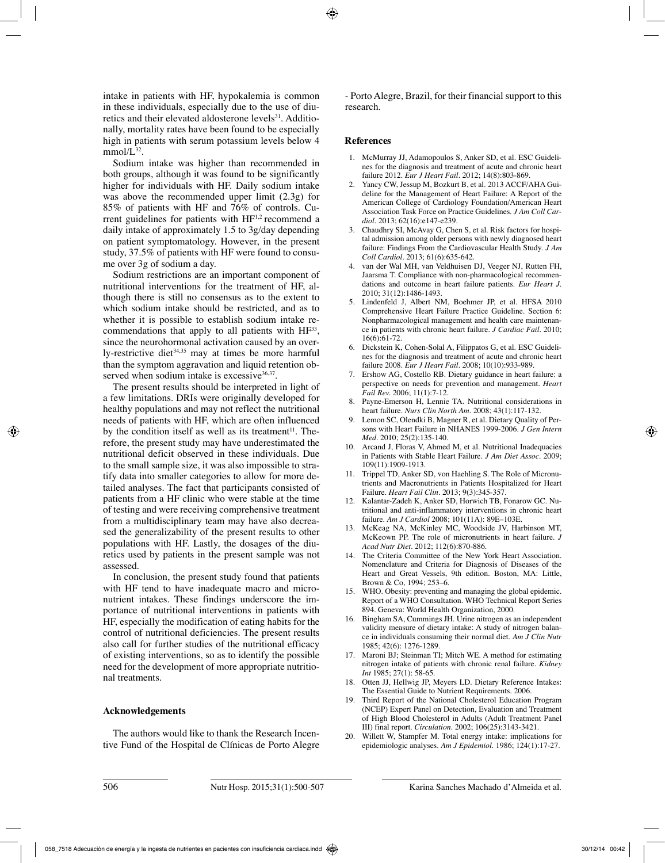intake in patients with HF, hypokalemia is common in these individuals, especially due to the use of diuretics and their elevated aldosterone levels<sup>31</sup>. Additionally, mortality rates have been found to be especially high in patients with serum potassium levels below 4  $mmol/L^{32}$ .

Sodium intake was higher than recommended in both groups, although it was found to be significantly higher for individuals with HF. Daily sodium intake was above the recommended upper limit (2.3g) for 85% of patients with HF and 76% of controls. Current guidelines for patients with HF<sup>1,2</sup> recommend a daily intake of approximately 1.5 to 3g/day depending on patient symptomatology. However, in the present study, 37.5% of patients with HF were found to consume over 3g of sodium a day.

Sodium restrictions are an important component of nutritional interventions for the treatment of HF, although there is still no consensus as to the extent to which sodium intake should be restricted, and as to whether it is possible to establish sodium intake recommendations that apply to all patients with HF33, since the neurohormonal activation caused by an overly-restrictive diet $34,35$  may at times be more harmful than the symptom aggravation and liquid retention observed when sodium intake is excessive<sup>36,37</sup>.

The present results should be interpreted in light of a few limitations. DRIs were originally developed for healthy populations and may not reflect the nutritional needs of patients with HF, which are often influenced by the condition itself as well as its treatment<sup>11</sup>. Therefore, the present study may have underestimated the nutritional deficit observed in these individuals. Due to the small sample size, it was also impossible to stratify data into smaller categories to allow for more detailed analyses. The fact that participants consisted of patients from a HF clinic who were stable at the time of testing and were receiving comprehensive treatment from a multidisciplinary team may have also decreased the generalizability of the present results to other populations with HF. Lastly, the dosages of the diuretics used by patients in the present sample was not assessed.

In conclusion, the present study found that patients with HF tend to have inadequate macro and micronutrient intakes. These findings underscore the importance of nutritional interventions in patients with HF, especially the modification of eating habits for the control of nutritional deficiencies. The present results also call for further studies of the nutritional efficacy of existing interventions, so as to identify the possible need for the development of more appropriate nutritional treatments.

#### **Acknowledgements**

The authors would like to thank the Research Incentive Fund of the Hospital de Clínicas de Porto Alegre - Porto Alegre, Brazil, for their financial support to this research.

#### **References**

- 1. McMurray JJ, Adamopoulos S, Anker SD, et al. ESC Guidelines for the diagnosis and treatment of acute and chronic heart failure 2012. *Eur J Heart Fail.* 2012; 14(8):803-869.
- 2. Yancy CW, Jessup M, Bozkurt B, et al. 2013 ACCF/AHA Guideline for the Management of Heart Failure: A Report of the American College of Cardiology Foundation/American Heart Association Task Force on Practice Guidelines. *J Am Coll Cardiol.* 2013; 62(16):e147-e239.
- 3. Chaudhry SI, McAvay G, Chen S, et al. Risk factors for hospital admission among older persons with newly diagnosed heart failure: Findings From the Cardiovascular Health Study. *J Am Coll Cardiol.* 2013; 61(6):635-642.
- 4. van der Wal MH, van Veldhuisen DJ, Veeger NJ, Rutten FH, Jaarsma T. Compliance with non-pharmacological recommendations and outcome in heart failure patients. *Eur Heart J.*  2010; 31(12):1486-1493.
- 5. Lindenfeld J, Albert NM, Boehmer JP, et al. HFSA 2010 Comprehensive Heart Failure Practice Guideline. Section 6: Nonpharmacological management and health care maintenance in patients with chronic heart failure. *J Cardiac Fail.* 2010; 16(6):61-72.
- 6. Dickstein K, Cohen-Solal A, Filippatos G, et al. ESC Guidelines for the diagnosis and treatment of acute and chronic heart failure 2008. *Eur J Heart Fail.* 2008; 10(10):933-989.
- 7. Ershow AG, Costello RB. Dietary guidance in heart failure: a perspective on needs for prevention and management. *Heart Fail Rev.* 2006; 11(1):7-12.
- 8. Payne-Emerson H, Lennie TA. Nutritional considerations in heart failure. *Nurs Clin North Am.* 2008; 43(1):117-132.
- Lemon SC, Olendki B, Magner R, et al. Dietary Quality of Persons with Heart Failure in NHANES 1999-2006. *J Gen Intern Med.* 2010; 25(2):135-140.
- 10. Arcand J, Floras V, Ahmed M, et al. Nutritional Inadequacies in Patients with Stable Heart Failure. *J Am Diet Assoc.* 2009; 109(11):1909-1913.
- 11. Trippel TD, Anker SD, von Haehling S. The Role of Micronutrients and Macronutrients in Patients Hospitalized for Heart Failure. *Heart Fail Clin.* 2013; 9(3):345-357.
- 12. Kalantar-Zadeh K, Anker SD, Horwich TB, Fonarow GC. Nutritional and anti-inflammatory interventions in chronic heart failure. *Am J Cardiol* 2008; 101(11A): 89E–103E.
- 13. McKeag NA, McKinley MC, Woodside JV, Harbinson MT, McKeown PP. The role of micronutrients in heart failure. *J Acad Nutr Diet.* 2012; 112(6):870-886.
- 14. The Criteria Committee of the New York Heart Association. Nomenclature and Criteria for Diagnosis of Diseases of the Heart and Great Vessels, 9th edition. Boston, MA: Little, Brown & Co, 1994; 253–6.
- WHO. Obesity: preventing and managing the global epidemic. Report of a WHO Consultation. WHO Technical Report Series 894. Geneva: World Health Organization, 2000.
- 16. Bingham SA, Cummings JH. Urine nitrogen as an independent validity measure of dietary intake: A study of nitrogen balance in individuals consuming their normal diet. *Am J Clin Nutr*  1985; 42(6): 1276-1289.
- 17. Maroni BJ; Steinman TI; Mitch WE. A method for estimating nitrogen intake of patients with chronic renal failure. *Kidney Int* 1985; 27(1): 58-65.
- 18. Otten JJ, Hellwig JP, Meyers LD. Dietary Reference Intakes: The Essential Guide to Nutrient Requirements. 2006.
- 19. Third Report of the National Cholesterol Education Program (NCEP) Expert Panel on Detection, Evaluation and Treatment of High Blood Cholesterol in Adults (Adult Treatment Panel III) final report. *Circulation.* 2002; 106(25):3143-3421.
- 20. Willett W, Stampfer M. Total energy intake: implications for epidemiologic analyses. *Am J Epidemiol.* 1986; 124(1):17-27.